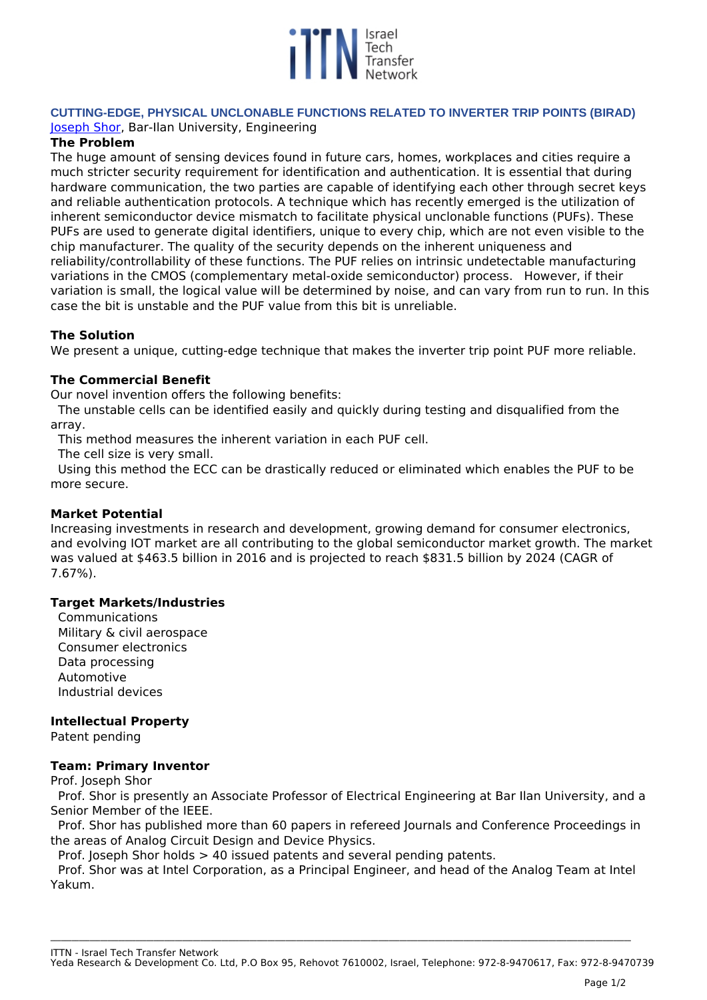

# **CUTTING-EDGE, PHYSICAL UNCLONABLE FUNCTIONS RELATED TO INVERTER TRIP POINTS (BIRAD)**  *[Joseph Shor,](https://engineering.biu.ac.il/en/node/7034) Bar-Ilan University, Engineering*

## **The Problem**

*The huge amount of sensing devices found in future cars, homes, workplaces and cities require a much stricter security requirement for identification and authentication. It is essential that during hardware communication, the two parties are capable of identifying each other through secret keys and reliable authentication protocols. A technique which has recently emerged is the utilization of inherent semiconductor device mismatch to facilitate physical unclonable functions (PUFs). These PUFs are used to generate digital identifiers, unique to every chip, which are not even visible to the chip manufacturer. The quality of the security depends on the inherent uniqueness and reliability/controllability of these functions. The PUF relies on intrinsic undetectable manufacturing variations in the CMOS (complementary metal-oxide semiconductor) process. However, if their variation is small, the logical value will be determined by noise, and can vary from run to run. In this case the bit is unstable and the PUF value from this bit is unreliable.*

## **The Solution**

*We present a unique, cutting-edge technique that makes the inverter trip point PUF more reliable.* 

## **The Commercial Benefit**

*Our novel invention offers the following benefits:*

*The unstable cells can be identified easily and quickly during testing and disqualified from the array.* 

*This method measures the inherent variation in each PUF cell.* 

*The cell size is very small.* 

*Using this method the ECC can be drastically reduced or eliminated which enables the PUF to be more secure.*

### **Market Potential**

*Increasing investments in research and development, growing demand for consumer electronics, and evolving IOT market are all contributing to the global semiconductor market growth. The market was valued at \$463.5 billion in 2016 and is projected to reach \$831.5 billion by 2024 (CAGR of 7.67%).* 

### **Target Markets/Industries**

*Communications Military & civil aerospace Consumer electronics Data processing Automotive Industrial devices*

# **Intellectual Property**

*Patent pending*

### **Team: Primary Inventor**

*Prof. Joseph Shor*

*Prof. Shor is presently an Associate Professor of Electrical Engineering at Bar Ilan University, and a Senior Member of the IEEE.* 

*Prof. Shor has published more than 60 papers in refereed Journals and Conference Proceedings in the areas of Analog Circuit Design and Device Physics.* 

*Prof. Joseph Shor holds > 40 issued patents and several pending patents.* 

*Prof. Shor was at Intel Corporation, as a Principal Engineer, and head of the Analog Team at Intel Yakum.* 

**\_\_\_\_\_\_\_\_\_\_\_\_\_\_\_\_\_\_\_\_\_\_\_\_\_\_\_\_\_\_\_\_\_\_\_\_\_\_\_\_\_\_\_\_\_\_\_\_\_\_\_\_\_\_\_\_\_\_\_\_\_\_\_\_\_\_\_\_\_\_\_\_\_\_\_\_\_\_\_\_\_\_\_\_\_\_\_\_\_\_\_\_\_\_\_\_\_\_\_\_\_\_\_\_\_\_\_\_\_\_\_\_\_\_\_\_\_\_\_\_\_\_\_\_\_\_\_\_\_\_\_\_\_\_\_\_\_\_\_\_\_\_\_\_\_\_\_\_\_\_\_\_\_\_\_\_\_\_\_\_\_\_\_**

*ITTN - Israel Tech Transfer Network*

*Yeda Research & Development Co. Ltd, P.O Box 95, Rehovot 7610002, Israel, Telephone: 972-8-9470617, Fax: 972-8-9470739*